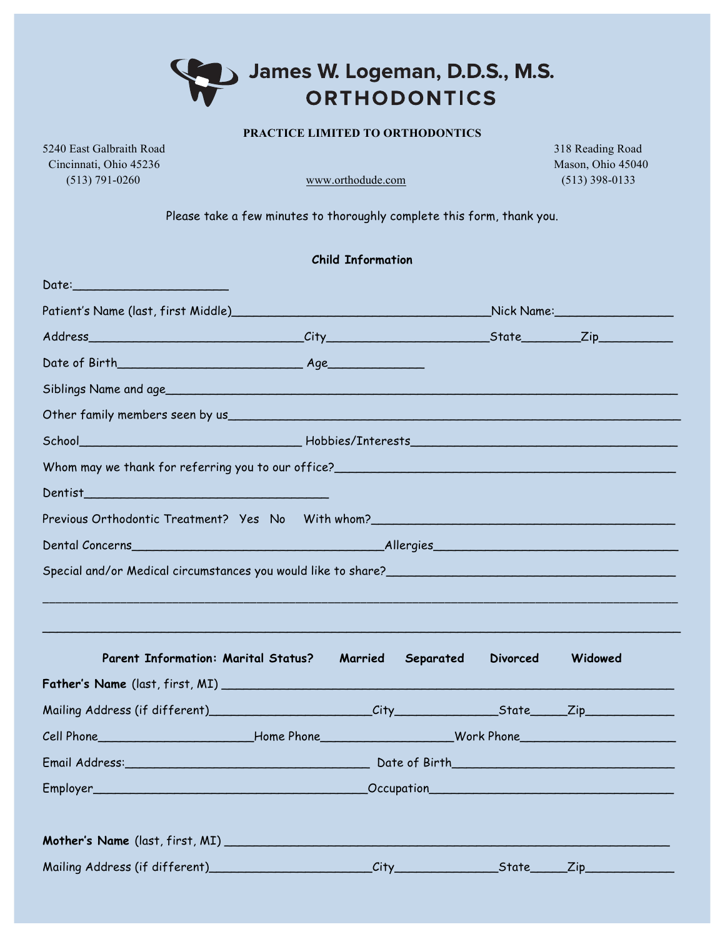## James W. Logeman, D.D.S., M.S. **ORTHODONTICS**

## **PRACTICE LIMITED TO ORTHODONTICS**

5240 East Galbraith Road 318 Reading Road Cincinnati, Ohio 45236 Mason, Ohio 45040 (513) 791-0260 www.orthodude.com (513) 398-0133

Please take a few minutes to thoroughly complete this form, thank you.

|                                                                                  | <b>Child Information</b> |           |                 |         |  |
|----------------------------------------------------------------------------------|--------------------------|-----------|-----------------|---------|--|
| Date: ________________________                                                   |                          |           |                 |         |  |
|                                                                                  |                          |           |                 |         |  |
|                                                                                  |                          |           |                 |         |  |
|                                                                                  |                          |           |                 |         |  |
|                                                                                  |                          |           |                 |         |  |
|                                                                                  |                          |           |                 |         |  |
|                                                                                  |                          |           |                 |         |  |
|                                                                                  |                          |           |                 |         |  |
| Dentist                                                                          |                          |           |                 |         |  |
| Previous Orthodontic Treatment? Yes No With whom?_______________________________ |                          |           |                 |         |  |
|                                                                                  |                          |           |                 |         |  |
|                                                                                  |                          |           |                 |         |  |
|                                                                                  |                          |           |                 |         |  |
|                                                                                  |                          |           |                 |         |  |
| <b>Parent Information: Marital Status?</b>                                       | Married                  | Separated | <b>Divorced</b> | Widowed |  |
|                                                                                  |                          |           |                 |         |  |
|                                                                                  |                          |           |                 |         |  |
|                                                                                  |                          |           |                 |         |  |
|                                                                                  |                          |           |                 |         |  |
|                                                                                  |                          |           |                 |         |  |
|                                                                                  |                          |           |                 |         |  |
|                                                                                  |                          |           |                 |         |  |
|                                                                                  |                          |           |                 |         |  |
|                                                                                  |                          |           |                 |         |  |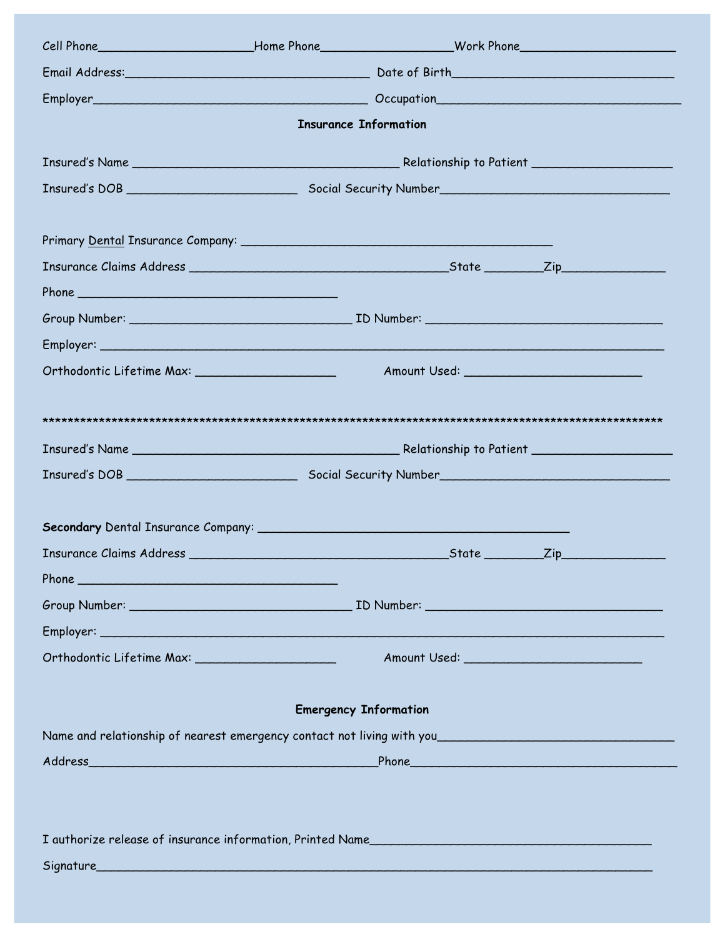| <b>Insurance Information</b>                               |  |                |     |  |  |  |  |  |
|------------------------------------------------------------|--|----------------|-----|--|--|--|--|--|
|                                                            |  |                |     |  |  |  |  |  |
|                                                            |  |                |     |  |  |  |  |  |
|                                                            |  |                |     |  |  |  |  |  |
|                                                            |  |                |     |  |  |  |  |  |
|                                                            |  |                |     |  |  |  |  |  |
|                                                            |  |                |     |  |  |  |  |  |
|                                                            |  |                |     |  |  |  |  |  |
|                                                            |  |                |     |  |  |  |  |  |
|                                                            |  |                |     |  |  |  |  |  |
|                                                            |  |                |     |  |  |  |  |  |
|                                                            |  |                |     |  |  |  |  |  |
|                                                            |  |                |     |  |  |  |  |  |
|                                                            |  |                |     |  |  |  |  |  |
|                                                            |  |                |     |  |  |  |  |  |
|                                                            |  |                |     |  |  |  |  |  |
| <b>Insurance Claims Address</b>                            |  | $_5$ tate $\_$ | Zip |  |  |  |  |  |
|                                                            |  |                |     |  |  |  |  |  |
|                                                            |  |                |     |  |  |  |  |  |
|                                                            |  |                |     |  |  |  |  |  |
|                                                            |  |                |     |  |  |  |  |  |
|                                                            |  |                |     |  |  |  |  |  |
| <b>Emergency Information</b>                               |  |                |     |  |  |  |  |  |
|                                                            |  |                |     |  |  |  |  |  |
|                                                            |  |                |     |  |  |  |  |  |
|                                                            |  |                |     |  |  |  |  |  |
|                                                            |  |                |     |  |  |  |  |  |
| I authorize release of insurance information, Printed Name |  |                |     |  |  |  |  |  |
|                                                            |  |                |     |  |  |  |  |  |